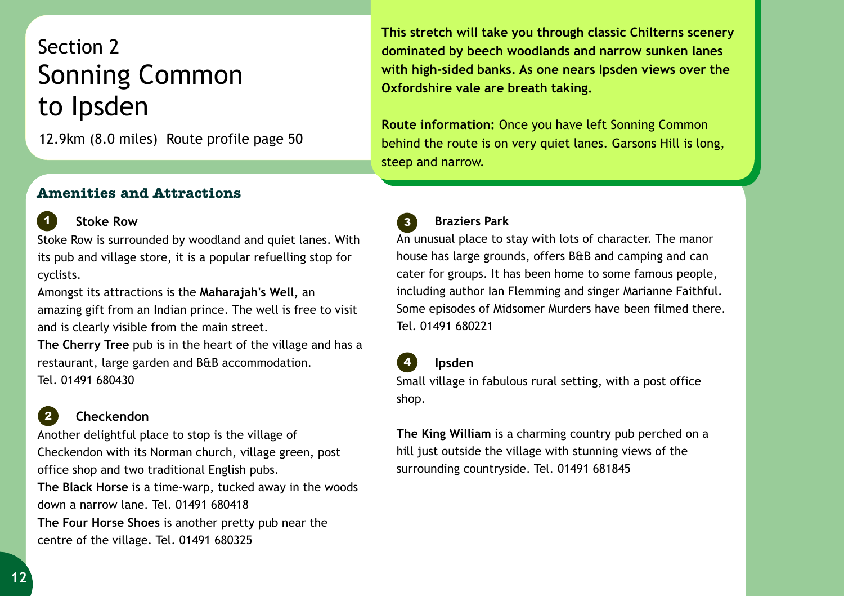# Section 2 to Ipsden Sonning Common

12.9km (8.0 miles) Route profile page 50

### **This stretch will take you through classic Chilterns scenery dominated by beech woodlands and narrow sunken lanes with high-sided banks. As one nears Ipsden views over the Oxfordshire vale are breath taking.**

**Route information:** Once you have left Sonning Common behind the route is on very quiet lanes. Garsons Hill is long, steep and narrow.

## **Amenities and Attractions** *<sup>1</sup> <sup>2</sup>*

#### **Stoke Row**

*1*

Stoke Row is surrounded by woodland and quiet lanes. With its pub and village store, it is a popular refuelling stop for cyclists.

Amongst its attractions is the **Maharajah's Well,** an amazing gift from an Indian prince. The well is free to visit and is clearly visible from the main street.

**The Cherry Tree** pub is in the heart of the village and has a restaurant, large garden and B&B accommodation. Tel. 01491 680430

#### **Checkendon** *2*

Another delightful place to stop is the village of Checkendon with its Norman church, village green, post office shop and two traditional English pubs. **The Black Horse** is a time-warp, tucked away in the woods down a narrow lane. Tel. 01491 680418 **The Four Horse Shoes** is another pretty pub near the centre of the village. Tel. 01491 680325

#### **Braziers Park** *3*

An unusual place to stay with lots of character. The manor house has large grounds, offers B&B and camping and can cater for groups. It has been home to some famous people, including author Ian Flemming and singer Marianne Faithful. Some episodes of Midsomer Murders have been filmed there. Tel. 01491 680221

 **Ipsden** 

*4*

Small village in fabulous rural setting, with a post office shop.

**The King William** is a charming country pub perched on a hill just outside the village with stunning views of the surrounding countryside. Tel. 01491 681845